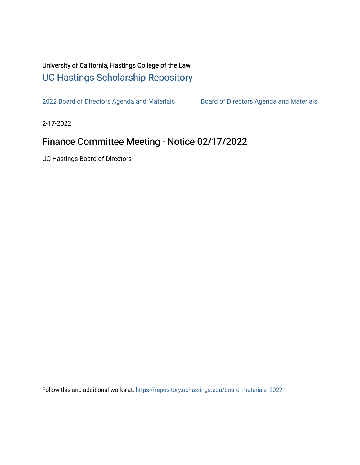## University of California, Hastings College of the Law [UC Hastings Scholarship Repository](https://repository.uchastings.edu/)

[2022 Board of Directors Agenda and Materials](https://repository.uchastings.edu/board_materials_2022) Board of Directors Agenda and Materials

2-17-2022

## Finance Committee Meeting - Notice 02/17/2022

UC Hastings Board of Directors

Follow this and additional works at: [https://repository.uchastings.edu/board\\_materials\\_2022](https://repository.uchastings.edu/board_materials_2022?utm_source=repository.uchastings.edu%2Fboard_materials_2022%2F11&utm_medium=PDF&utm_campaign=PDFCoverPages)